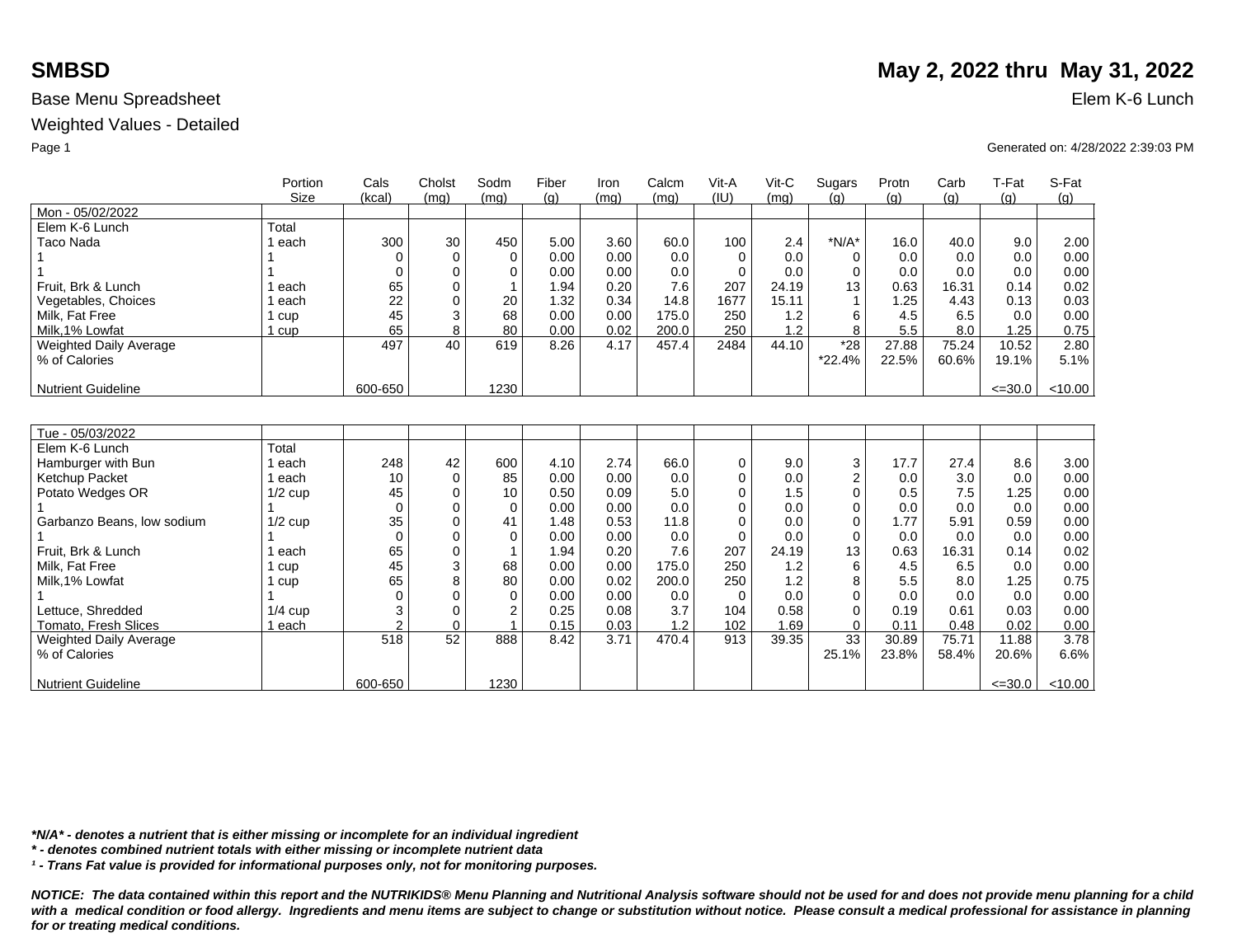Weighted Values - Detailed

|                               | Portion<br>Size | Cals<br>(kcal) | Cholst<br>(mq) | Sodm<br>(mq) | Fiber<br>(q) | Iron<br>(mq) | Calcm<br>(mq) | Vit-A<br>(IU) | $V$ it-C<br>(mq) | Sugars<br>(q)  | Protn<br>(q) | Carb<br>(q) | T-Fat<br>(g) | S-Fat<br>(g) |
|-------------------------------|-----------------|----------------|----------------|--------------|--------------|--------------|---------------|---------------|------------------|----------------|--------------|-------------|--------------|--------------|
| Mon - 05/02/2022              |                 |                |                |              |              |              |               |               |                  |                |              |             |              |              |
| Elem K-6 Lunch                | Total           |                |                |              |              |              |               |               |                  |                |              |             |              |              |
| <b>Taco Nada</b>              | each            | 300            | 30             | 450          | 5.00         | 3.60         | 60.0          | 100           | 2.4              | $*N/A*$        | 16.0         | 40.0        | 9.0          | 2.00         |
|                               |                 | $\Omega$       | $\mathbf 0$    | $\Omega$     | 0.00         | 0.00         | 0.0           | $\Omega$      | 0.0              | 0              | 0.0          | 0.0         | 0.0          | 0.00         |
|                               |                 | $\Omega$       | $\mathbf 0$    | $\Omega$     | 0.00         | 0.00         | 0.0           | $\Omega$      | 0.0              | $\Omega$       | 0.0          | 0.0         | 0.0          | 0.00         |
| Fruit. Brk & Lunch            | each            | 65             | $\Omega$       |              | 1.94         | 0.20         | 7.6           | 207           | 24.19            | 13             | 0.63         | 16.31       | 0.14         | 0.02         |
| Vegetables, Choices           | each            | 22             | $\Omega$       | 20           | 1.32         | 0.34         | 14.8          | 1677          | 15.11            | $\mathbf{1}$   | 1.25         | 4.43        | 0.13         | 0.03         |
| Milk, Fat Free                | 1 cup           | 45             | 3              | 68           | 0.00         | 0.00         | 175.0         | 250           | 1.2              | 6              | 4.5          | 6.5         | 0.0          | 0.00         |
| Milk.1% Lowfat                | 1 cup           | 65             | 8              | 80           | 0.00         | 0.02         | 200.0         | 250           | 1.2              | 8              | 5.5          | 8.0         | 1.25         | 0.75         |
| <b>Weighted Daily Average</b> |                 | 497            | 40             | 619          | 8.26         | 4.17         | 457.4         | 2484          | 44.10            | $*28$          | 27.88        | 75.24       | 10.52        | 2.80         |
| % of Calories                 |                 |                |                |              |              |              |               |               |                  | $*22.4%$       | 22.5%        | 60.6%       | 19.1%        | 5.1%         |
|                               |                 |                |                |              |              |              |               |               |                  |                |              |             |              |              |
| <b>Nutrient Guideline</b>     |                 | 600-650        |                | 1230         |              |              |               |               |                  |                |              |             | $\leq$ =30.0 | < 10.00      |
|                               |                 |                |                |              |              |              |               |               |                  |                |              |             |              |              |
|                               |                 |                |                |              |              |              |               |               |                  |                |              |             |              |              |
| Tue - 05/03/2022              |                 |                |                |              |              |              |               |               |                  |                |              |             |              |              |
| Elem K-6 Lunch                | Total           |                |                |              |              |              |               |               |                  |                |              |             |              |              |
| Hamburger with Bun            | each            | 248            | 42             | 600          | 4.10         | 2.74         | 66.0          | $\mathbf 0$   | 9.0              | 3              | 17.7         | 27.4        | 8.6          | 3.00         |
| Ketchup Packet                | l each          | 10             | $\Omega$       | 85           | 0.00         | 0.00         | 0.0           | $\Omega$      | 0.0              | $\overline{2}$ | 0.0          | 3.0         | 0.0          | 0.00         |
| Potato Wedges OR              | $1/2$ cup       | 45             | 0              | 10           | 0.50         | 0.09         | 5.0           | $\Omega$      | 1.5              | $\Omega$       | 0.5          | 7.5         | 1.25         | 0.00         |
|                               |                 | $\Omega$       | 0              | $\Omega$     | 0.00         | 0.00         | 0.0           | $\Omega$      | 0.0              | $\Omega$       | 0.0          | 0.0         | 0.0          | 0.00         |
| Garbanzo Beans, low sodium    | $1/2$ cup       | 35             | $\Omega$       | 41           | 1.48         | 0.53         | 11.8          | $\Omega$      | 0.0              | $\Omega$       | 1.77         | 5.91        | 0.59         | 0.00         |
|                               |                 | $\Omega$       | $\Omega$       | $\Omega$     | 0.00         | 0.00         | 0.0           | $\Omega$      | 0.0              | $\Omega$       | 0.0          | 0.0         | 0.0          | 0.00         |
| Fruit. Brk & Lunch            | each            | 65             | $\mathbf 0$    |              | 1.94         | 0.20         | 7.6           | 207           | 24.19            | 13             | 0.63         | 16.31       | 0.14         | 0.02         |
| Milk. Fat Free                | 1 cup           | 45             | 3              | 68           | 0.00         | 0.00         | 175.0         | 250           | 1.2              | 6              | 4.5          | 6.5         | 0.0          | 0.00         |
| Milk, 1% Lowfat               | 1 cup           | 65             | 8              | 80           | 0.00         | 0.02         | 200.0         | 250           | 1.2              | 8              | 5.5          | 8.0         | 1.25         | 0.75         |
|                               |                 | $\Omega$       | $\Omega$       | $\Omega$     | 0.00         | 0.00         | 0.0           | $\Omega$      | 0.0              | $\Omega$       | 0.0          | 0.0         | 0.0          | 0.00         |
| Lettuce, Shredded             | $1/4$ cup       | 3              | $\Omega$       | 2            | 0.25         | 0.08         | 3.7           | 104           | 0.58             | $\Omega$       | 0.19         | 0.61        | 0.03         | 0.00         |
| Tomato, Fresh Slices          | 1 each          | $\overline{2}$ | $\mathbf 0$    |              | 0.15         | 0.03         | 1.2           | 102           | 1.69             | $\mathbf 0$    | 0.11         | 0.48        | 0.02         | 0.00         |
| Weighted Daily Average        |                 | 518            | 52             | 888          | 8.42         | 3.71         | 470.4         | 913           | 39.35            | 33             | 30.89        | 75.71       | 11.88        | 3.78         |
| % of Calories                 |                 |                |                |              |              |              |               |               |                  | 25.1%          | 23.8%        | 58.4%       | 20.6%        | 6.6%         |
|                               |                 |                |                |              |              |              |               |               |                  |                |              |             |              |              |
| <b>Nutrient Guideline</b>     |                 | 600-650        |                | 1230         |              |              |               |               |                  |                |              |             | $\leq 30.0$  | < 10.00      |

**SMBSD** May 2, 2022 thru May 31, 2022

Page 1 Generated on: 4/28/2022 2:39:03 PM

*\*N/A\* - denotes a nutrient that is either missing or incomplete for an individual ingredient*

*\* - denotes combined nutrient totals with either missing or incomplete nutrient data*

*¹ - Trans Fat value is provided for informational purposes only, not for monitoring purposes.*

*NOTICE: The data contained within this report and the NUTRIKIDS® Menu Planning and Nutritional Analysis software should not be used for and does not provide menu planning for a child*  with a medical condition or food allergy. Ingredients and menu items are subject to change or substitution without notice. Please consult a medical professional for assistance in planning *for or treating medical conditions.*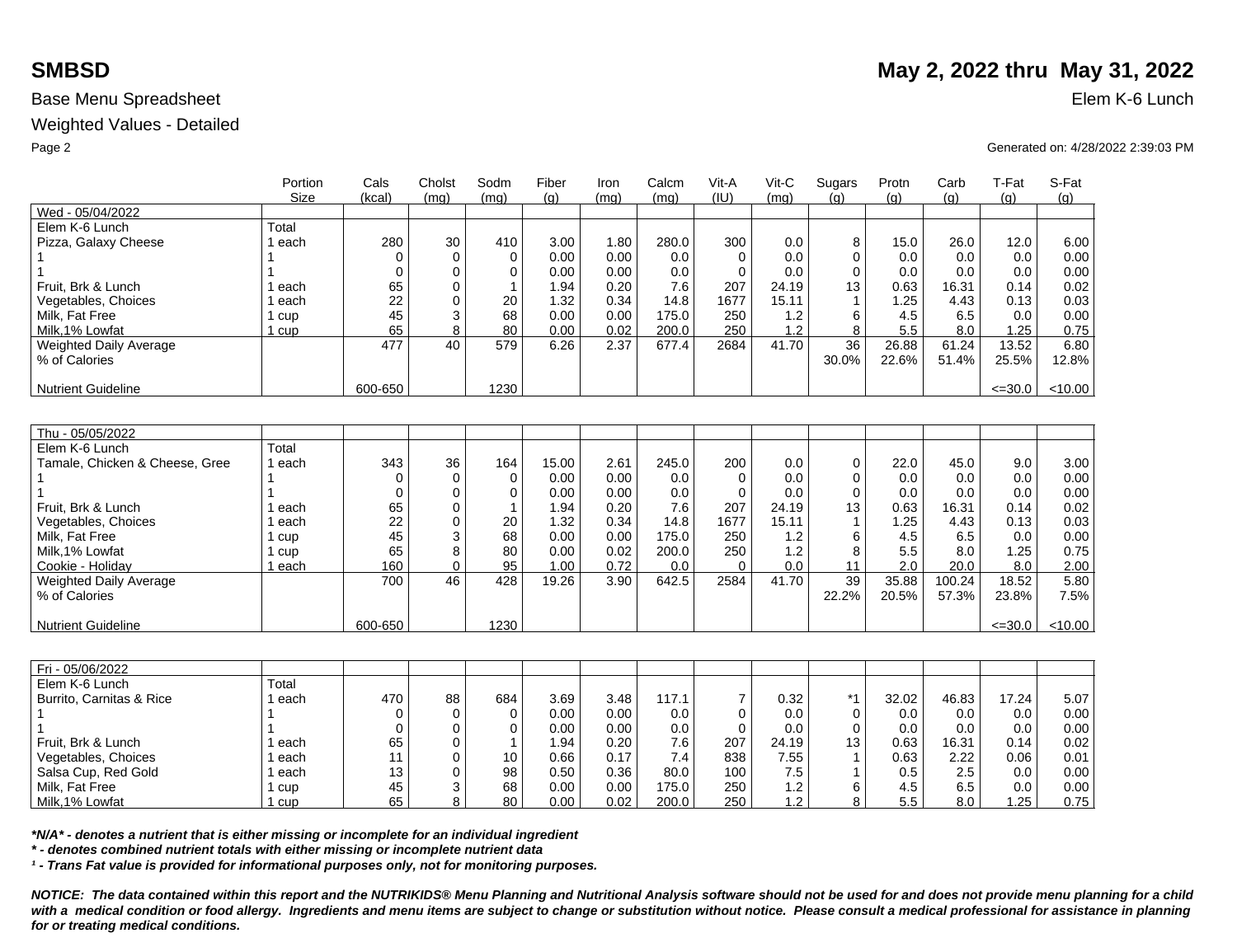Weighted Values - Detailed

|                                | Portion<br>Size | Cals<br>(kcal) | Cholst<br>(mq) | Sodm<br>(mq) | Fiber<br>(g) | <b>Iron</b><br>(mq) | Calcm<br>(mq) | Vit-A<br>(IU)  | Vit-C<br>(mq) | Sugars<br>(q) | Protn<br>(g)  | Carb<br>(g)   | T-Fat<br>(g)  | S-Fat<br>(g) |
|--------------------------------|-----------------|----------------|----------------|--------------|--------------|---------------------|---------------|----------------|---------------|---------------|---------------|---------------|---------------|--------------|
| Wed - 05/04/2022               |                 |                |                |              |              |                     |               |                |               |               |               |               |               |              |
| Elem K-6 Lunch                 | Total           |                |                |              |              |                     |               |                |               |               |               |               |               |              |
| Pizza, Galaxy Cheese           | each            | 280            | 30             | 410          | 3.00         | 1.80                | 280.0         | 300            | 0.0           | 8             | 15.0          | 26.0          | 12.0          | 6.00         |
|                                |                 | $\mathbf 0$    | $\mathbf 0$    | $\mathbf 0$  | 0.00         | 0.00                | 0.0           | $\Omega$       | 0.0           | $\Omega$      | 0.0           | 0.0           | 0.0           | 0.00         |
|                                |                 | $\Omega$       | $\Omega$       | $\Omega$     | 0.00         | 0.00                | 0.0           | $\Omega$       | 0.0           | $\Omega$      | 0.0           | 0.0           | 0.0           | 0.00         |
| Fruit, Brk & Lunch             | each            | 65             | $\mathbf 0$    |              | 1.94         | 0.20                | 7.6           | 207            | 24.19         | 13            | 0.63          | 16.31         | 0.14          | 0.02         |
| Vegetables, Choices            | each            | 22             | 0              | 20           | 1.32         | 0.34                | 14.8          | 1677           | 15.11         | $\mathbf 1$   | 1.25          | 4.43          | 0.13          | 0.03         |
| Milk, Fat Free                 | 1 cup           | 45             | 3              | 68           | 0.00         | 0.00                | 175.0         | 250            | 1.2           | 6             | 4.5           | 6.5           | 0.0           | 0.00         |
| Milk.1% Lowfat                 | 1 cup           | 65             | 8              | 80           | 0.00         | 0.02                | 200.0         | 250            | 1.2           | 8             | 5.5           | 8.0           | 1.25          | 0.75         |
| <b>Weighted Daily Average</b>  |                 | 477            | 40             | 579          | 6.26         | 2.37                | 677.4         | 2684           | 41.70         | 36            | 26.88         | 61.24         | 13.52         | 6.80         |
| % of Calories                  |                 |                |                |              |              |                     |               |                |               | 30.0%         | 22.6%         | 51.4%         | 25.5%         | 12.8%        |
|                                |                 |                |                |              |              |                     |               |                |               |               |               |               |               |              |
| <b>Nutrient Guideline</b>      |                 | 600-650        |                | 1230         |              |                     |               |                |               |               |               |               | $\leq 30.0$   | < 10.00      |
|                                |                 |                |                |              |              |                     |               |                |               |               |               |               |               |              |
|                                |                 |                |                |              |              |                     |               |                |               |               |               |               |               |              |
| Thu - 05/05/2022               |                 |                |                |              |              |                     |               |                |               |               |               |               |               |              |
| Elem K-6 Lunch                 | Total           |                |                |              |              |                     |               |                |               |               |               |               |               |              |
| Tamale, Chicken & Cheese, Gree | 1 each          | 343            | 36             | 164          | 15.00        | 2.61                | 245.0         | 200            | 0.0           | 0             | 22.0          | 45.0          | 9.0           | 3.00         |
|                                |                 | $\Omega$       | $\mathbf 0$    | $\Omega$     | 0.00         | 0.00                | 0.0           | $\Omega$       | 0.0           | $\Omega$      | 0.0           | 0.0           | 0.0           | 0.00         |
|                                |                 | $\Omega$       | $\Omega$       | 0            | 0.00         | 0.00                | 0.0           | $\Omega$       | 0.0           | $\Omega$      | 0.0           | 0.0           | 0.0           | 0.00         |
| Fruit, Brk & Lunch             | each            | 65             | 0              |              | 1.94         | 0.20                | 7.6           | 207            | 24.19         | 13            | 0.63          | 16.31         | 0.14          | 0.02         |
| Vegetables, Choices            | each            | 22             | 0              | 20           | 1.32         | 0.34                | 14.8          | 1677           | 15.11         |               | 1.25          | 4.43          | 0.13          | 0.03         |
| Milk, Fat Free                 | 1 cup           | 45             | 3              | 68           | 0.00         | 0.00                | 175.0         | 250            | 1.2           | 6             | 4.5           | 6.5           | 0.0           | 0.00         |
| Milk, 1% Lowfat                | 1 cup           | 65             | 8              | 80           | 0.00         | 0.02                | 200.0         | 250            | 1.2           | 8             | 5.5           | 8.0           | 1.25          | 0.75         |
| Cookie - Holiday               | 1 each          | 160            | $\Omega$       | 95           | 1.00         | 0.72                | 0.0           | $\Omega$       | 0.0           | 11            | 2.0           | 20.0          | 8.0           | 2.00         |
| Weighted Daily Average         |                 | 700            | 46             | 428          | 19.26        | 3.90                | 642.5         | 2584           | 41.70         | 39            | 35.88         | 100.24        | 18.52         | 5.80         |
| % of Calories                  |                 |                |                |              |              |                     |               |                |               | 22.2%         | 20.5%         | 57.3%         | 23.8%         | 7.5%         |
|                                |                 |                |                |              |              |                     |               |                |               |               |               |               |               |              |
| <b>Nutrient Guideline</b>      |                 | 600-650        |                | 1230         |              |                     |               |                |               |               |               |               | $\leq 30.0$   | < 10.00      |
|                                |                 |                |                |              |              |                     |               |                |               |               |               |               |               |              |
| Fri - 05/06/2022               |                 |                |                |              |              |                     |               |                |               |               |               |               |               |              |
| Elem K-6 Lunch                 | Total           |                |                |              |              |                     |               |                |               |               |               |               |               |              |
| Burrito, Carnitas & Rice       | 1 each          | 470            | 88             | 684          | 3.69         | 3.48                | 117.1         | $\overline{7}$ | 0.32          | *1            | 32.02         | 46.83         | 17.24         | 5.07         |
|                                | $\overline{A}$  | $\Omega$       | $\Omega$       | $\Omega$     | 0.00         | 0.00                | $\cap$        | $\Omega$       | $\cap$        | $\Omega$      | $\cap$ $\cap$ | $\cap$ $\cap$ | $\cap$ $\cap$ | 0.00         |

| Elem K-6 Lunch           | Total |     |    |     |          |      |       |     |       |               |       |       |       |      |
|--------------------------|-------|-----|----|-----|----------|------|-------|-----|-------|---------------|-------|-------|-------|------|
| Burrito, Carnitas & Rice | each  | 470 | 88 | 684 | 3.69     | 3.48 | 117.1 |     | 0.32  | $*$ $\lambda$ | 32.02 | 46.83 | 17.24 | 5.07 |
|                          |       |     |    |     | 0.00     | 0.00 | 0.0   |     | 0.0   |               | 0.0   | 0.0   | 0.0   | 0.00 |
|                          |       |     |    |     | 0.00     | 0.00 | 0.0   |     | 0.0   |               | 0.0   | 0.0   | 0.0   | 0.00 |
| Fruit, Brk & Lunch       | each  | 65  |    |     | .94      | 0.20 | 7.6   | 207 | 24.19 | 13            | 0.63  | 16.31 | 0.14  | 0.02 |
| Vegetables, Choices      | each  |     |    | 10  | 0.66     | 0.17 | 7.4   | 838 | 7.55  |               | 0.63  | 2.22  | 0.06  | 0.01 |
| Salsa Cup, Red Gold      | each  | 13  |    | 98  | $0.50\,$ | 0.36 | 80.0  | 100 | 7.5   |               | 0.5   | 2.5   | 0.0   | 0.00 |
| Milk, Fat Free           | cup   | 45  |    | 68  | 0.00     | 0.00 | 175.0 | 250 | 1.2   |               | 4.5   | 6.5   | 0.0   | 0.00 |
| Milk.1% Lowfat           | cup   | 65  |    | 80  | 0.00     | 0.02 | 200.0 | 250 | 1.2   |               | 5.5   | 8.0   | .25   | 0.75 |

*\*N/A\* - denotes a nutrient that is either missing or incomplete for an individual ingredient*

*\* - denotes combined nutrient totals with either missing or incomplete nutrient data*

*¹ - Trans Fat value is provided for informational purposes only, not for monitoring purposes.*

*NOTICE: The data contained within this report and the NUTRIKIDS® Menu Planning and Nutritional Analysis software should not be used for and does not provide menu planning for a child*  with a medical condition or food allergy. Ingredients and menu items are subject to change or substitution without notice. Please consult a medical professional for assistance in planning *for or treating medical conditions.*

# **SMBSD** May 2, 2022 thru May 31, 2022

Page 2 Generated on: 4/28/2022 2:39:03 PM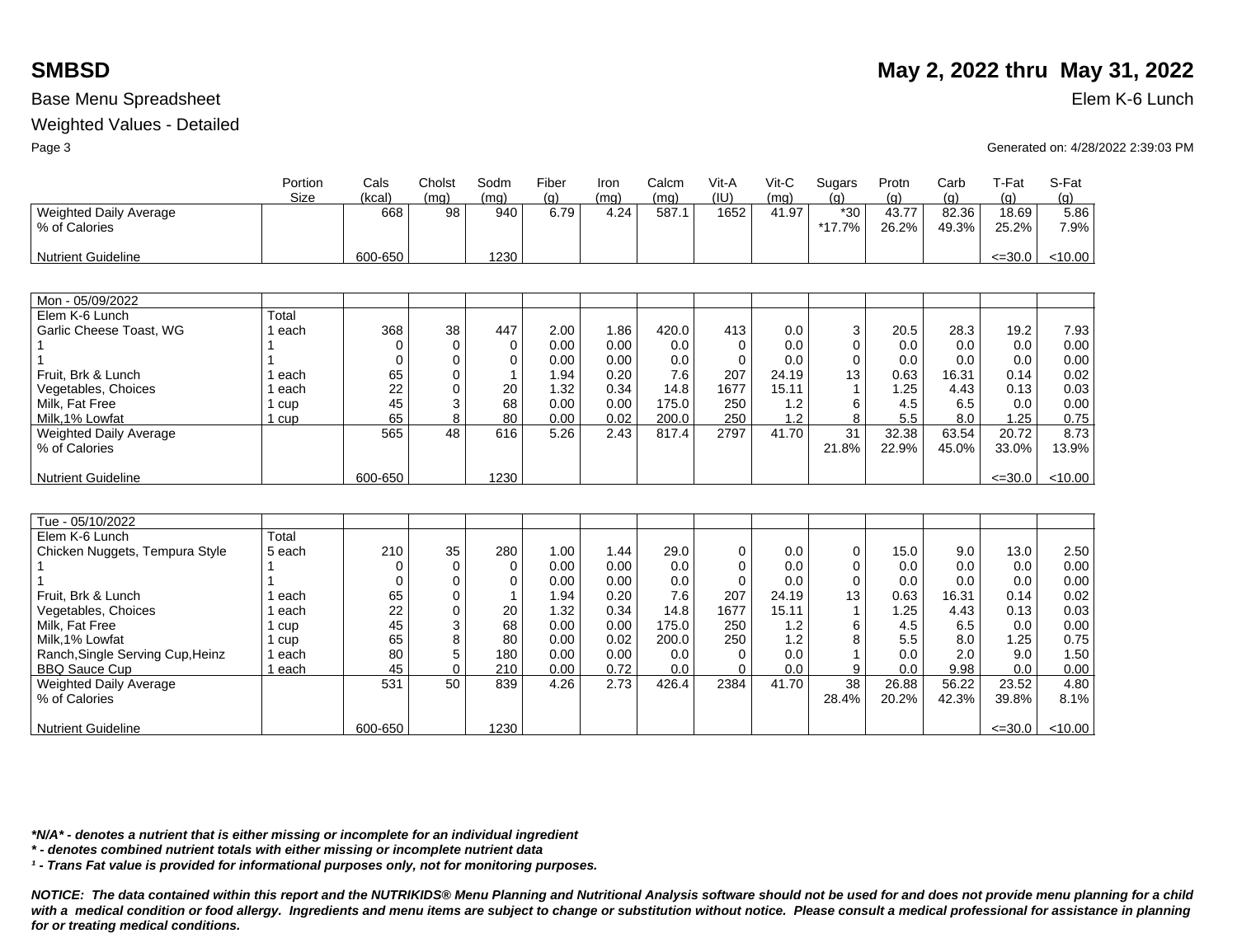Nutrient Guideline

## Base Menu Spreadsheet Elem K-6 Lunch

### Weighted Values - Detailed

|                                  | Portion | Cals     | Cholst   | Sodm     | Fiber | Iron | Calcm | Vit-A    | Vit-C | Sugars      | Protn | Carb  | T-Fat       | S-Fat   |
|----------------------------------|---------|----------|----------|----------|-------|------|-------|----------|-------|-------------|-------|-------|-------------|---------|
|                                  | Size    | (kcal)   | (mq)     | (mq)     | (q)   | (ma) | (ma)  | (III)    | (ma)  | (a)         | (g)   | (g)   | (g)         | (g)     |
| <b>Weighted Daily Average</b>    |         | 668      | 98       | 940      | 6.79  | 4.24 | 587.1 | 1652     | 41.97 | $*30$       | 43.77 | 82.36 | 18.69       | 5.86    |
| % of Calories                    |         |          |          |          |       |      |       |          |       | $*17.7%$    | 26.2% | 49.3% | 25.2%       | 7.9%    |
|                                  |         |          |          |          |       |      |       |          |       |             |       |       |             |         |
| <b>Nutrient Guideline</b>        |         | 600-650  |          | 1230     |       |      |       |          |       |             |       |       | $\leq 30.0$ | < 10.00 |
|                                  |         |          |          |          |       |      |       |          |       |             |       |       |             |         |
|                                  |         |          |          |          |       |      |       |          |       |             |       |       |             |         |
| Mon - 05/09/2022                 |         |          |          |          |       |      |       |          |       |             |       |       |             |         |
| Elem K-6 Lunch                   | Total   |          |          |          |       |      |       |          |       |             |       |       |             |         |
| Garlic Cheese Toast, WG          | 1 each  | 368      | 38       | 447      | 2.00  | 1.86 | 420.0 | 413      | 0.0   | 3           | 20.5  | 28.3  | 19.2        | 7.93    |
|                                  |         | 0        | $\Omega$ | $\Omega$ | 0.00  | 0.00 | 0.0   | $\Omega$ | 0.0   | $\Omega$    | 0.0   | 0.0   | 0.0         | 0.00    |
|                                  |         | $\Omega$ | $\Omega$ | $\Omega$ | 0.00  | 0.00 | 0.0   | $\Omega$ | 0.0   | $\Omega$    | 0.0   | 0.0   | 0.0         | 0.00    |
| Fruit, Brk & Lunch               | each    | 65       | $\Omega$ |          | 1.94  | 0.20 | 7.6   | 207      | 24.19 | 13          | 0.63  | 16.31 | 0.14        | 0.02    |
| Vegetables, Choices              | each    | 22       | $\Omega$ | 20       | 1.32  | 0.34 | 14.8  | 1677     | 15.11 |             | 1.25  | 4.43  | 0.13        | 0.03    |
| Milk. Fat Free                   | cup     | 45       | 3        | 68       | 0.00  | 0.00 | 175.0 | 250      | 1.2   | 6           | 4.5   | 6.5   | 0.0         | 0.00    |
| Milk.1% Lowfat                   | l cup   | 65       | 8        | 80       | 0.00  | 0.02 | 200.0 | 250      | 1.2   | 8           | 5.5   | 8.0   | 1.25        | 0.75    |
| <b>Weighted Daily Average</b>    |         | 565      | 48       | 616      | 5.26  | 2.43 | 817.4 | 2797     | 41.70 | 31          | 32.38 | 63.54 | 20.72       | 8.73    |
| % of Calories                    |         |          |          |          |       |      |       |          |       | 21.8%       | 22.9% | 45.0% | 33.0%       | 13.9%   |
|                                  |         |          |          |          |       |      |       |          |       |             |       |       |             |         |
| <b>Nutrient Guideline</b>        |         | 600-650  |          | 1230     |       |      |       |          |       |             |       |       | $\leq 30.0$ | < 10.00 |
|                                  |         |          |          |          |       |      |       |          |       |             |       |       |             |         |
|                                  |         |          |          |          |       |      |       |          |       |             |       |       |             |         |
| Tue - 05/10/2022                 |         |          |          |          |       |      |       |          |       |             |       |       |             |         |
| Elem K-6 Lunch                   | Total   |          |          |          |       |      |       |          |       |             |       |       |             |         |
| Chicken Nuggets, Tempura Style   | 5 each  | 210      | 35       | 280      | 1.00  | 1.44 | 29.0  | 0        | 0.0   | 0           | 15.0  | 9.0   | 13.0        | 2.50    |
|                                  |         | 0        | $\Omega$ | $\Omega$ | 0.00  | 0.00 | 0.0   | $\Omega$ | 0.0   | $\mathbf 0$ | 0.0   | 0.0   | 0.0         | 0.00    |
|                                  |         | 0        | 0        | $\Omega$ | 0.00  | 0.00 | 0.0   | $\Omega$ | 0.0   | 0           | 0.0   | 0.0   | 0.0         | 0.00    |
| Fruit, Brk & Lunch               | each    | 65       | 0        |          | 1.94  | 0.20 | 7.6   | 207      | 24.19 | 13          | 0.63  | 16.31 | 0.14        | 0.02    |
| Vegetables, Choices              | each    | 22       | $\Omega$ | 20       | 1.32  | 0.34 | 14.8  | 1677     | 15.11 |             | 1.25  | 4.43  | 0.13        | 0.03    |
| Milk, Fat Free                   | 1 cup   | 45       | 3        | 68       | 0.00  | 0.00 | 175.0 | 250      | 1.2   | 6           | 4.5   | 6.5   | 0.0         | 0.00    |
| Milk, 1% Lowfat                  | 1 cup   | 65       | 8        | 80       | 0.00  | 0.02 | 200.0 | 250      | 1.2   | 8           | 5.5   | 8.0   | 1.25        | 0.75    |
| Ranch, Single Serving Cup, Heinz | 1 each  | 80       | 5        | 180      | 0.00  | 0.00 | 0.0   | $\Omega$ | 0.0   |             | 0.0   | 2.0   | 9.0         | 1.50    |
| <b>BBQ Sauce Cup</b>             | 1 each  | 45       | $\Omega$ | 210      | 0.00  | 0.72 | 0.0   | $\Omega$ | 0.0   | 9           | 0.0   | 9.98  | 0.0         | 0.00    |
| Weighted Daily Average           |         | 531      | 50       | 839      | 4.26  | 2.73 | 426.4 | 2384     | 41.70 | 38          | 26.88 | 56.22 | 23.52       | 4.80    |
| % of Calories                    |         |          |          |          |       |      |       |          |       | 28.4%       | 20.2% | 42.3% | 39.8%       | 8.1%    |
|                                  |         |          |          |          |       |      |       |          |       |             |       |       |             |         |

1230

*\*N/A\* - denotes a nutrient that is either missing or incomplete for an individual ingredient*

*\* - denotes combined nutrient totals with either missing or incomplete nutrient data*

*¹ - Trans Fat value is provided for informational purposes only, not for monitoring purposes.*

600-650

*NOTICE: The data contained within this report and the NUTRIKIDS® Menu Planning and Nutritional Analysis software should not be used for and does not provide menu planning for a child*  with a medical condition or food allergy. Ingredients and menu items are subject to change or substitution without notice. Please consult a medical professional for assistance in planning *for or treating medical conditions.*

# **SMBSD** May 2, 2022 thru May 31, 2022

<u><=30.0 | <10.00</u>

Page 3 Generated on: 4/28/2022 2:39:03 PM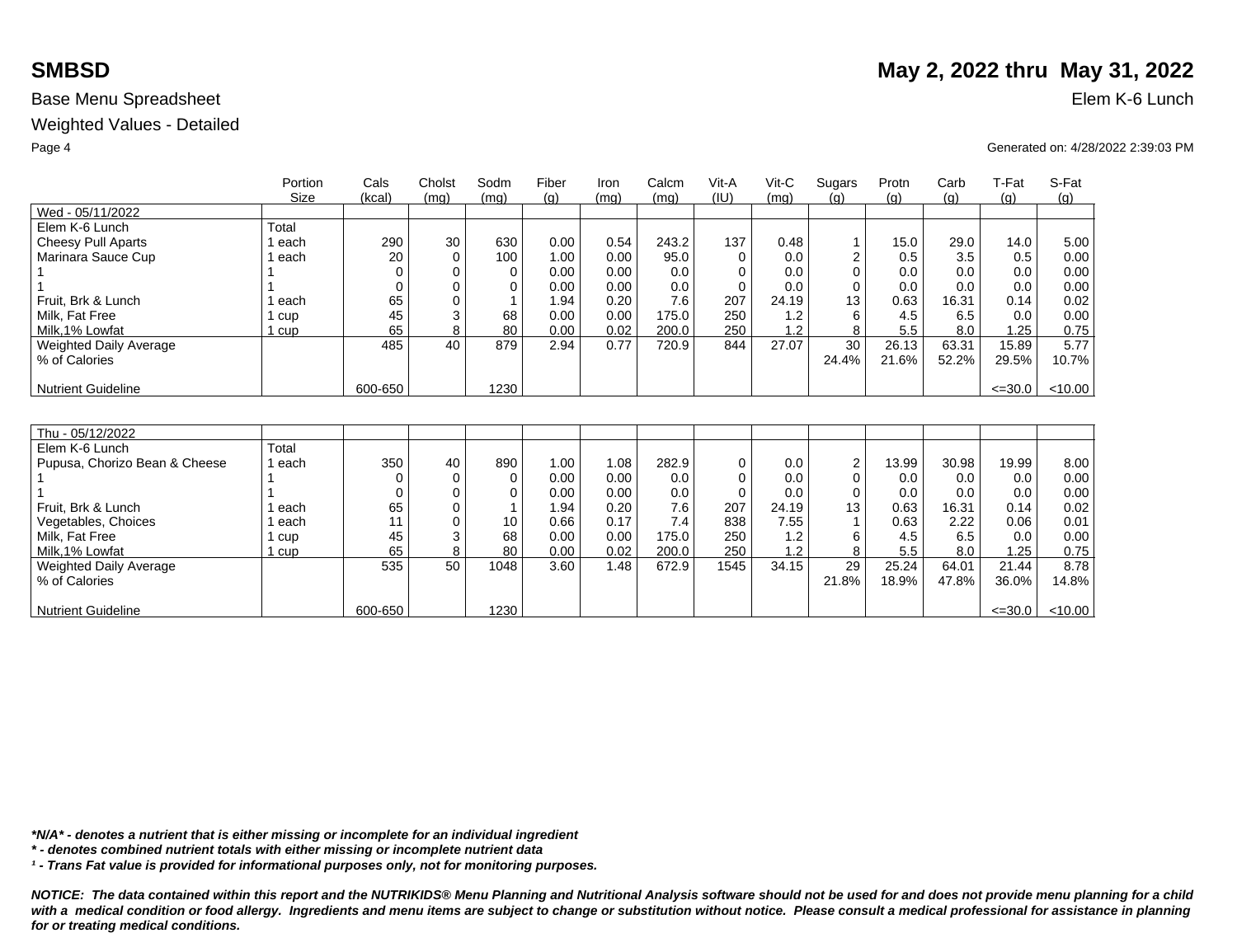Weighted Values - Detailed

|                               | Portion<br>Size | Cals<br>(kcal) | Cholst<br>(mq) | Sodm<br>(mq) | Fiber<br>(q) | Iron<br>(mq) | Calcm<br>(mq) | Vit-A<br>(IU) | $V$ it-C<br>(mq) | Sugars<br>(q)  | Protn<br>(q) | Carb<br>(q) | T-Fat       | S-Fat   |
|-------------------------------|-----------------|----------------|----------------|--------------|--------------|--------------|---------------|---------------|------------------|----------------|--------------|-------------|-------------|---------|
| Wed - 05/11/2022              |                 |                |                |              |              |              |               |               |                  |                |              |             | (g)         | (g)     |
| Elem K-6 Lunch                | Total           |                |                |              |              |              |               |               |                  |                |              |             |             |         |
| Cheesy Pull Aparts            | 1 each          | 290            | 30             | 630          | 0.00         | 0.54         | 243.2         | 137           | 0.48             |                | 15.0         | 29.0        | 14.0        | 5.00    |
| Marinara Sauce Cup            | 1 each          | 20             | $\Omega$       | 100          | 1.00         | 0.00         | 95.0          | $\Omega$      | 0.0              | 2              | 0.5          | 3.5         | 0.5         | 0.00    |
|                               |                 |                | $\Omega$       | 0            | 0.00         | 0.00         | 0.0           | ∩             | 0.0              | $\Omega$       | 0.0          | 0.0         | 0.0         | 0.00    |
|                               |                 |                | $\Omega$       | 0            | 0.00         | 0.00         | 0.0           | $\Omega$      | 0.0              | $\Omega$       | 0.0          | 0.0         | 0.0         | 0.00    |
| Fruit, Brk & Lunch            | 1 each          | 65             | 0              |              | 1.94         | 0.20         | 7.6           | 207           | 24.19            | 13             | 0.63         | 16.31       | 0.14        | 0.02    |
| Milk, Fat Free                | 1 cup           | 45             | 3              | 68           | 0.00         | 0.00         | 175.0         | 250           | 1.2              | 6              | 4.5          | 6.5         | 0.0         | 0.00    |
| Milk, 1% Lowfat               | $1 \text{ cup}$ | 65             | 8              | 80           | 0.00         | 0.02         | 200.0         | 250           | 1.2              | 8              | 5.5          | 8.0         | 1.25        | 0.75    |
| <b>Weighted Daily Average</b> |                 | 485            | 40             | 879          | 2.94         | 0.77         | 720.9         | 844           | 27.07            | 30             | 26.13        | 63.31       | 15.89       | 5.77    |
| % of Calories                 |                 |                |                |              |              |              |               |               |                  | 24.4%          | 21.6%        | 52.2%       | 29.5%       | 10.7%   |
|                               |                 |                |                |              |              |              |               |               |                  |                |              |             |             |         |
| <b>Nutrient Guideline</b>     |                 | 600-650        |                | 1230         |              |              |               |               |                  |                |              |             | $\leq 30.0$ | < 10.00 |
|                               |                 |                |                |              |              |              |               |               |                  |                |              |             |             |         |
|                               |                 |                |                |              |              |              |               |               |                  |                |              |             |             |         |
| Thu - 05/12/2022              |                 |                |                |              |              |              |               |               |                  |                |              |             |             |         |
| Elem K-6 Lunch                | Total           |                |                |              |              |              |               |               |                  |                |              |             |             |         |
| Pupusa, Chorizo Bean & Cheese | 1 each          | 350            | 40             | 890          | 1.00         | 1.08         | 282.9         | $\Omega$      | 0.0              | $\overline{2}$ | 13.99        | 30.98       | 19.99       | 8.00    |
|                               |                 |                | 0              | 0            | 0.00         | 0.00         | 0.0           | $\Omega$      | 0.0              | $\Omega$       | 0.0          | 0.0         | 0.0         | 0.00    |
|                               |                 |                | $\Omega$       | $\Omega$     | 0.00         | 0.00         | 0.0           | $\Omega$      | 0.0              | $\Omega$       | 0.0          | 0.0         | 0.0         | 0.00    |
| Fruit. Brk & Lunch            | each            | 65             | 0              |              | 1.94         | 0.20         | 7.6           | 207           | 24.19            | 13             | 0.63         | 16.31       | 0.14        | 0.02    |
| Vegetables, Choices           | 1 each          | 11             | $\Omega$       | 10           | 0.66         | 0.17         | 7.4           | 838           | 7.55             |                | 0.63         | 2.22        | 0.06        | 0.01    |
| Milk, Fat Free                | 1 cup           | 45             | 3              | 68           | 0.00         | 0.00         | 175.0         | 250           | 1.2              | 6              | 4.5          | 6.5         | 0.0         | 0.00    |
| Milk, 1% Lowfat               | $1$ cup         | 65             | 8              | 80           | 0.00         | 0.02         | 200.0         | 250           | 1.2              | 8              | 5.5          | 8.0         | 1.25        | 0.75    |
| Weighted Daily Average        |                 | 535            | 50             | 1048         | 3.60         | 1.48         | 672.9         | 1545          | 34.15            | 29             | 25.24        | 64.01       | 21.44       | 8.78    |
| % of Calories                 |                 |                |                |              |              |              |               |               |                  | 21.8%          | 18.9%        | 47.8%       | 36.0%       | 14.8%   |
|                               |                 |                |                |              |              |              |               |               |                  |                |              |             |             |         |
| <b>Nutrient Guideline</b>     |                 | 600-650        |                | 1230         |              |              |               |               |                  |                |              |             | $\leq 30.0$ | < 10.00 |

*\*N/A\* - denotes a nutrient that is either missing or incomplete for an individual ingredient*

*\* - denotes combined nutrient totals with either missing or incomplete nutrient data*

*¹ - Trans Fat value is provided for informational purposes only, not for monitoring purposes.*

*NOTICE: The data contained within this report and the NUTRIKIDS® Menu Planning and Nutritional Analysis software should not be used for and does not provide menu planning for a child*  with a medical condition or food allergy. Ingredients and menu items are subject to change or substitution without notice. Please consult a medical professional for assistance in planning *for or treating medical conditions.*

# **SMBSD** May 2, 2022 thru May 31, 2022

Page 4 Generated on: 4/28/2022 2:39:03 PM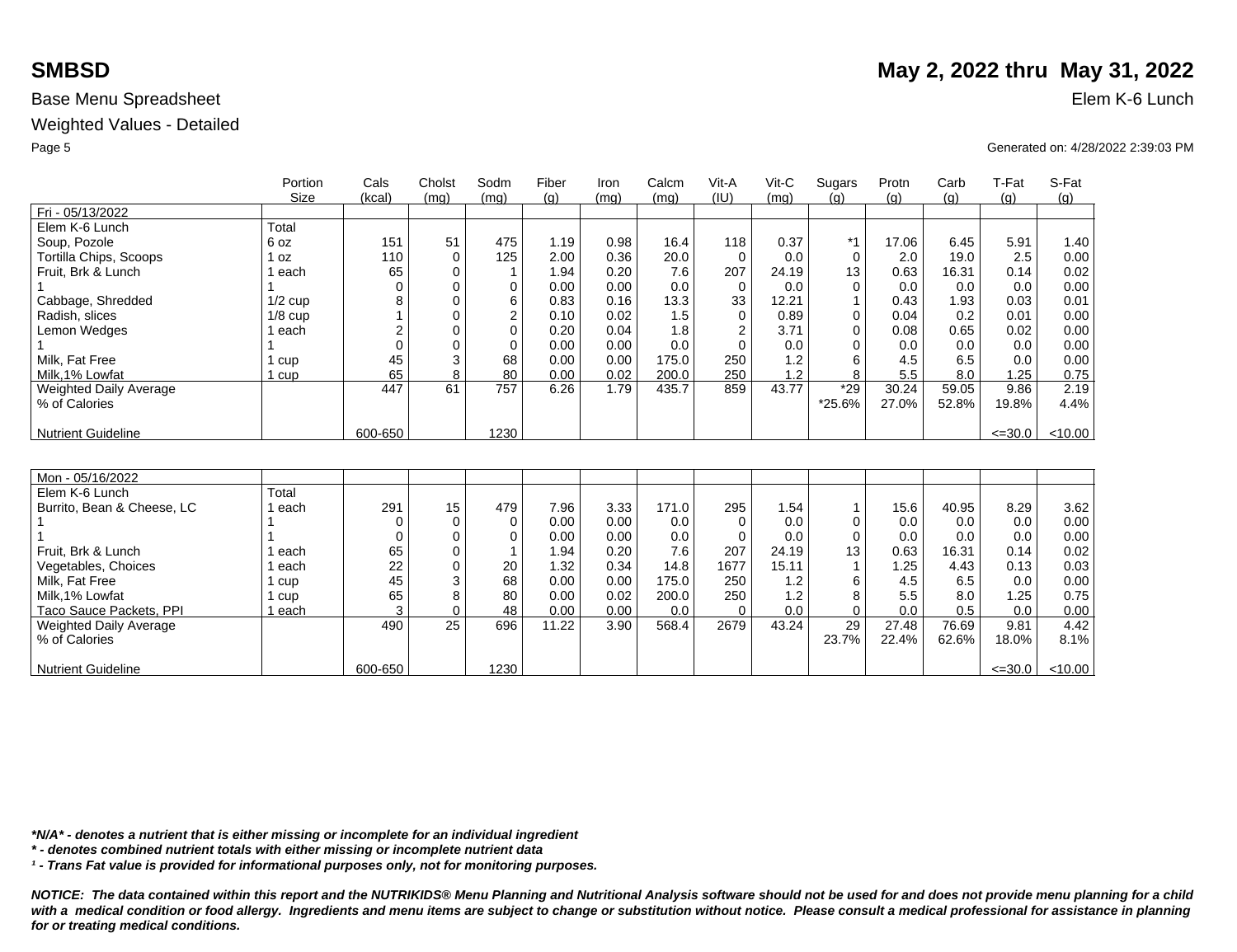Weighted Values - Detailed

| (g)     |
|---------|
|         |
|         |
|         |
| 1.40    |
| 0.00    |
| 0.02    |
| 0.00    |
| 0.01    |
| 0.00    |
| 0.00    |
| 0.00    |
| 0.00    |
| 0.75    |
| 2.19    |
| 4.4%    |
|         |
| < 10.00 |
|         |
|         |
|         |
|         |
| 3.62    |
| 0.00    |
| 0.00    |
| 0.02    |
| 0.03    |
| 0.00    |
| 0.75    |
| 0.00    |
| 4.42    |
|         |
| 8.1%    |
| < 10.00 |
|         |

*\*N/A\* - denotes a nutrient that is either missing or incomplete for an individual ingredient*

*\* - denotes combined nutrient totals with either missing or incomplete nutrient data*

*¹ - Trans Fat value is provided for informational purposes only, not for monitoring purposes.*

*NOTICE: The data contained within this report and the NUTRIKIDS® Menu Planning and Nutritional Analysis software should not be used for and does not provide menu planning for a child*  with a medical condition or food allergy. Ingredients and menu items are subject to change or substitution without notice. Please consult a medical professional for assistance in planning *for or treating medical conditions.*

## **SMBSD** May 2, 2022 thru May 31, 2022

Page 5 Generated on: 4/28/2022 2:39:03 PM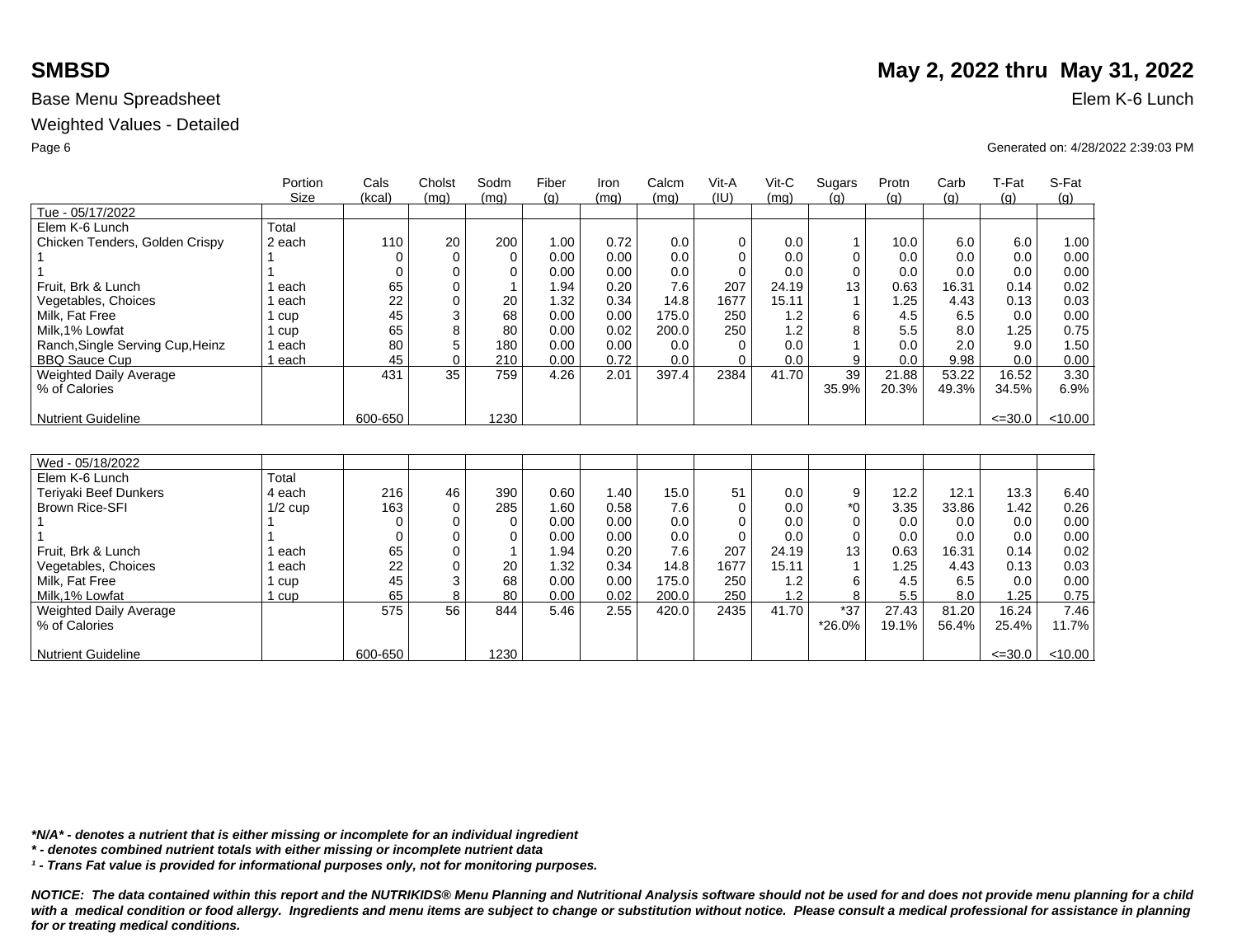Weighted Values - Detailed

|                                  | Portion     | Cals     | Cholst   | Sodm        | Fiber | Iron | Calcm | Vit-A    | $V$ it-C | Sugars   | Protn | Carb  | T-Fat       | S-Fat   |
|----------------------------------|-------------|----------|----------|-------------|-------|------|-------|----------|----------|----------|-------|-------|-------------|---------|
|                                  | <b>Size</b> | (kcal)   | (mq)     | (mq)        | (q)   | (mq) | (mq)  | (IU)     | (mq)     | (q)      | (g)   | (q)   | (q)         | (g)     |
| Tue - 05/17/2022                 |             |          |          |             |       |      |       |          |          |          |       |       |             |         |
| Elem K-6 Lunch                   | Total       |          |          |             |       |      |       |          |          |          |       |       |             |         |
| Chicken Tenders, Golden Crispy   | 2 each      | 110      | 20       | 200         | 1.00  | 0.72 | 0.0   | 0        | 0.0      | 1        | 10.0  | 6.0   | 6.0         | 1.00    |
|                                  |             |          | $\Omega$ | $\mathbf 0$ | 0.00  | 0.00 | 0.0   | $\Omega$ | 0.0      | 0        | 0.0   | 0.0   | 0.0         | 0.00    |
|                                  |             | 0        | $\Omega$ | 0           | 0.00  | 0.00 | 0.0   | $\Omega$ | 0.0      | $\Omega$ | 0.0   | 0.0   | 0.0         | 0.00    |
| Fruit. Brk & Lunch               | each        | 65       | 0        |             | 1.94  | 0.20 | 7.6   | 207      | 24.19    | 13       | 0.63  | 16.31 | 0.14        | 0.02    |
| Vegetables, Choices              | each        | 22       | O        | 20          | 1.32  | 0.34 | 14.8  | 1677     | 15.11    |          | 1.25  | 4.43  | 0.13        | 0.03    |
| Milk. Fat Free                   | 1 cup       | 45       | 3        | 68          | 0.00  | 0.00 | 175.0 | 250      | 1.2      | 6        | 4.5   | 6.5   | 0.0         | 0.00    |
| Milk, 1% Lowfat                  | 1 cup       | 65       | 8        | 80          | 0.00  | 0.02 | 200.0 | 250      | 1.2      | 8        | 5.5   | 8.0   | 1.25        | 0.75    |
| Ranch, Single Serving Cup, Heinz | 1 each      | 80       | 5        | 180         | 0.00  | 0.00 | 0.0   | $\Omega$ | 0.0      |          | 0.0   | 2.0   | 9.0         | 1.50    |
| <b>BBQ Sauce Cup</b>             | 1 each      | 45       | $\Omega$ | 210         | 0.00  | 0.72 | 0.0   | $\Omega$ | 0.0      | 9        | 0.0   | 9.98  | 0.0         | 0.00    |
| Weighted Daily Average           |             | 431      | 35       | 759         | 4.26  | 2.01 | 397.4 | 2384     | 41.70    | 39       | 21.88 | 53.22 | 16.52       | 3.30    |
| % of Calories                    |             |          |          |             |       |      |       |          |          | 35.9%    | 20.3% | 49.3% | 34.5%       | 6.9%    |
|                                  |             |          |          |             |       |      |       |          |          |          |       |       |             |         |
| <b>Nutrient Guideline</b>        |             | 600-650  |          | 1230        |       |      |       |          |          |          |       |       | $\leq 30.0$ | < 10.00 |
|                                  |             |          |          |             |       |      |       |          |          |          |       |       |             |         |
|                                  |             |          |          |             |       |      |       |          |          |          |       |       |             |         |
| Wed - 05/18/2022                 |             |          |          |             |       |      |       |          |          |          |       |       |             |         |
| Elem K-6 Lunch                   | Total       |          |          |             |       |      |       |          |          |          |       |       |             |         |
| Teriyaki Beef Dunkers            | 4 each      | 216      | 46       | 390         | 0.60  | 1.40 | 15.0  | 51       | 0.0      | 9        | 12.2  | 12.1  | 13.3        | 6.40    |
| <b>Brown Rice-SFI</b>            | $1/2$ cup   | 163      | $\Omega$ | 285         | 1.60  | 0.58 | 7.6   | $\Omega$ | 0.0      | $*$ 0    | 3.35  | 33.86 | 1.42        | 0.26    |
|                                  |             | $\Omega$ | O        | $\Omega$    | 0.00  | 0.00 | 0.0   | $\Omega$ | 0.0      | 0        | 0.0   | 0.0   | 0.0         | 0.00    |
|                                  |             | 0        | $\Omega$ | $\Omega$    | 0.00  | 0.00 | 0.0   | $\Omega$ | 0.0      | 0        | 0.0   | 0.0   | 0.0         | 0.00    |
| Fruit. Brk & Lunch               | l each      | 65       | $\Omega$ |             | 1.94  | 0.20 | 7.6   | 207      | 24.19    | 13       | 0.63  | 16.31 | 0.14        | 0.02    |
| Vegetables, Choices              | l each      | 22       | $\Omega$ | 20          | 1.32  | 0.34 | 14.8  | 1677     | 15.11    |          | 1.25  | 4.43  | 0.13        | 0.03    |
| Milk. Fat Free                   | 1 cup       | 45       | 3        | 68          | 0.00  | 0.00 | 175.0 | 250      | 1.2      | 6        | 4.5   | 6.5   | 0.0         | 0.00    |
| Milk.1% Lowfat                   | 1 cup       | 65       | 8        | 80          | 0.00  | 0.02 | 200.0 | 250      | 1.2      | 8        | 5.5   | 8.0   | .25         | 0.75    |
| Weighted Daily Average           |             | 575      | 56       | 844         | 5.46  | 2.55 | 420.0 | 2435     | 41.70    | $*37$    | 27.43 | 81.20 | 16.24       | 7.46    |
| % of Calories                    |             |          |          |             |       |      |       |          |          | *26.0%   | 19.1% | 56.4% | 25.4%       | 11.7%   |
|                                  |             |          |          |             |       |      |       |          |          |          |       |       |             |         |
| <b>Nutrient Guideline</b>        |             | 600-650  |          | 1230        |       |      |       |          |          |          |       |       | $\leq 30.0$ | < 10.00 |

*\*N/A\* - denotes a nutrient that is either missing or incomplete for an individual ingredient*

*\* - denotes combined nutrient totals with either missing or incomplete nutrient data*

*¹ - Trans Fat value is provided for informational purposes only, not for monitoring purposes.*

*NOTICE: The data contained within this report and the NUTRIKIDS® Menu Planning and Nutritional Analysis software should not be used for and does not provide menu planning for a child*  with a medical condition or food allergy. Ingredients and menu items are subject to change or substitution without notice. Please consult a medical professional for assistance in planning *for or treating medical conditions.*

## **SMBSD** May 2, 2022 thru May 31, 2022

Page 6 Generated on: 4/28/2022 2:39:03 PM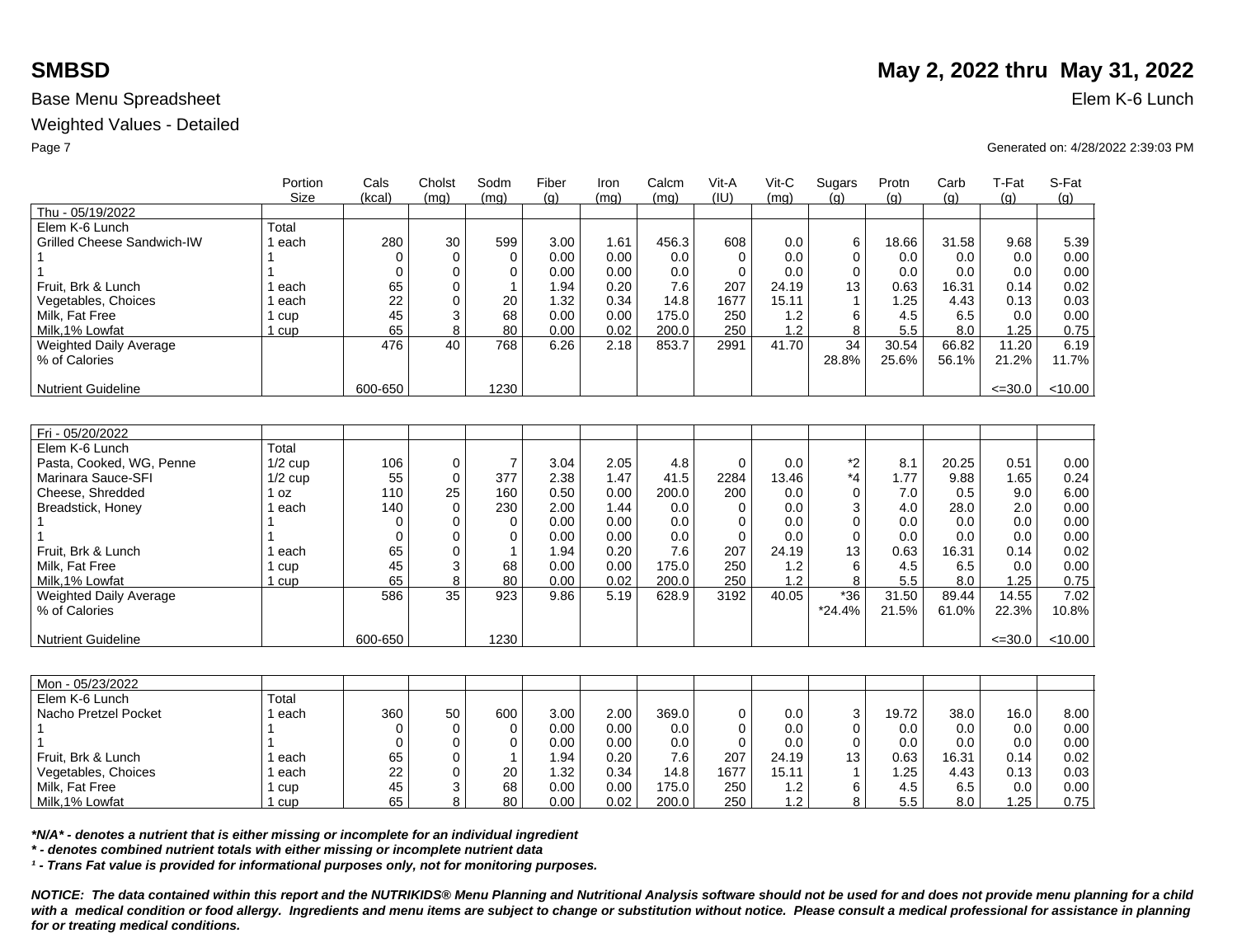### Weighted Values - Detailed

|                                   | Portion<br><b>Size</b> | Cals<br>(kcal) | Cholst<br>(mq)  | Sodm<br>(mq) | Fiber<br>(q) | Iron<br>(mq) | Calcm<br>(mq) | Vit-A<br>(IU) | Vit-C<br>(mq) | Sugars<br>(q) | Protn<br>(g) | Carb<br>(q) | T-Fat<br>(q) | S-Fat<br>(q) |
|-----------------------------------|------------------------|----------------|-----------------|--------------|--------------|--------------|---------------|---------------|---------------|---------------|--------------|-------------|--------------|--------------|
| Thu - 05/19/2022                  |                        |                |                 |              |              |              |               |               |               |               |              |             |              |              |
| Elem K-6 Lunch                    | Total                  |                |                 |              |              |              |               |               |               |               |              |             |              |              |
| <b>Grilled Cheese Sandwich-IW</b> | 1 each                 | 280            | 30              | 599          | 3.00         | 1.61         | 456.3         | 608           | 0.0           | 6             | 18.66        | 31.58       | 9.68         | 5.39         |
|                                   |                        | 0              | 0               | $\mathbf 0$  | 0.00         | 0.00         | 0.0           |               | 0.0           | $\Omega$      | 0.0          | 0.0         | 0.0          | 0.00         |
|                                   |                        | $\Omega$       | 0               | $\mathbf 0$  | 0.00         | 0.00         | 0.0           | $\Omega$      | 0.0           | $\Omega$      | 0.0          | 0.0         | 0.0          | 0.00         |
| Fruit. Brk & Lunch                | each                   | 65             | 0               | $\mathbf{1}$ | 1.94         | 0.20         | 7.6           | 207           | 24.19         | 13            | 0.63         | 16.31       | 0.14         | 0.02         |
| Vegetables, Choices               | each                   | 22             | $\overline{0}$  | 20           | 1.32         | 0.34         | 14.8          | 1677          | 15.11         |               | 1.25         | 4.43        | 0.13         | 0.03         |
| Milk. Fat Free                    | 1 cup                  | 45             | 3               | 68           | 0.00         | 0.00         | 175.0         | 250           | 1.2           | 6             | 4.5          | 6.5         | 0.0          | 0.00         |
| Milk.1% Lowfat                    | 1 cup                  | 65             | 8               | 80           | 0.00         | 0.02         | 200.0         | 250           | 1.2           | 8             | 5.5          | 8.0         | 1.25         | 0.75         |
| <b>Weighted Daily Average</b>     |                        | 476            | 40              | 768          | 6.26         | 2.18         | 853.7         | 2991          | 41.70         | 34            | 30.54        | 66.82       | 11.20        | 6.19         |
| % of Calories                     |                        |                |                 |              |              |              |               |               |               | 28.8%         | 25.6%        | 56.1%       | 21.2%        | 11.7%        |
|                                   |                        |                |                 |              |              |              |               |               |               |               |              |             |              |              |
| <b>Nutrient Guideline</b>         |                        | 600-650        |                 | 1230         |              |              |               |               |               |               |              |             | $\leq 30.0$  | $<$ 10.00    |
|                                   |                        |                |                 |              |              |              |               |               |               |               |              |             |              |              |
|                                   |                        |                |                 |              |              |              |               |               |               |               |              |             |              |              |
| Fri - 05/20/2022                  |                        |                |                 |              |              |              |               |               |               |               |              |             |              |              |
| Elem K-6 Lunch                    | Total                  |                |                 |              |              |              |               |               |               |               |              |             |              |              |
| Pasta, Cooked, WG, Penne          | $1/2$ cup              | 106            | 0               | 7            | 3.04         | 2.05         | 4.8           | $\Omega$      | 0.0           | *2            | 8.1          | 20.25       | 0.51         | 0.00         |
| Marinara Sauce-SFI                | $1/2$ cup              | 55             | 0               | 377          | 2.38         | 1.47         | 41.5          | 2284          | 13.46         | *4            | 1.77         | 9.88        | 1.65         | 0.24         |
| Cheese, Shredded                  | 1 oz                   | 110            | 25              | 160          | 0.50         | 0.00         | 200.0         | 200           | 0.0           | $\Omega$      | 7.0          | 0.5         | 9.0          | 6.00         |
| Breadstick, Honey                 | ∣ each                 | 140            | $\Omega$        | 230          | 2.00         | 1.44         | 0.0           | 0             | 0.0           | 3             | 4.0          | 28.0        | 2.0          | 0.00         |
|                                   |                        | 0              | 0               | $\mathbf 0$  | 0.00         | 0.00         | 0.0           | $\Omega$      | 0.0           | $\Omega$      | 0.0          | 0.0         | 0.0          | 0.00         |
|                                   |                        | $\Omega$       | 0               | $\mathbf 0$  | 0.00         | 0.00         | 0.0           | $\Omega$      | 0.0           | $\Omega$      | 0.0          | 0.0         | 0.0          | 0.00         |
| Fruit. Brk & Lunch                | each                   | 65             | 0               | $\mathbf{1}$ | 1.94         | 0.20         | 7.6           | 207           | 24.19         | 13            | 0.63         | 16.31       | 0.14         | 0.02         |
| Milk, Fat Free                    | l cup                  | 45             | 3               | 68           | 0.00         | 0.00         | 175.0         | 250           | 1.2           | 6             | 4.5          | 6.5         | 0.0          | 0.00         |
| Milk, 1% Lowfat                   | 1 cup                  | 65             | 8               | 80           | 0.00         | 0.02         | 200.0         | 250           | 1.2           | 8             | 5.5          | 8.0         | 1.25         | 0.75         |
| Weighted Daily Average            |                        | 586            | $\overline{35}$ | 923          | 9.86         | 5.19         | 628.9         | 3192          | 40.05         | $*36$         | 31.50        | 89.44       | 14.55        | 7.02         |
| % of Calories                     |                        |                |                 |              |              |              |               |               |               | $*24.4%$      | 21.5%        | 61.0%       | 22.3%        | 10.8%        |
|                                   |                        |                |                 |              |              |              |               |               |               |               |              |             |              |              |
| <b>Nutrient Guideline</b>         |                        | 600-650        |                 | 1230         |              |              |               |               |               |               |              |             | $\leq 30.0$  | < 10.00      |
|                                   |                        |                |                 |              |              |              |               |               |               |               |              |             |              |              |
|                                   |                        |                |                 |              |              |              |               |               |               |               |              |             |              |              |

| Mon - 05/23/2022     |       |     |    |     |      |      |       |      |       |    |       |       |                   |      |
|----------------------|-------|-----|----|-----|------|------|-------|------|-------|----|-------|-------|-------------------|------|
| Elem K-6 Lunch       | Total |     |    |     |      |      |       |      |       |    |       |       |                   |      |
| Nacho Pretzel Pocket | each  | 360 | 50 | 600 | 3.00 | 2.00 | 369.0 |      | 0.0   | ົ  | 19.72 | 38.0  | 16.0 <sub>1</sub> | 8.00 |
|                      |       |     |    |     | 0.00 | 0.00 | 0.0   |      | 0.0   |    | 0.0   | 0.0   | 0.0               | 0.00 |
|                      |       |     |    |     | 0.00 | 0.00 | 0.0   |      | 0.0   |    | 0.0   | 0.0   | 0.0               | 0.00 |
| Fruit, Brk & Lunch   | each  | 65  |    |     | l.94 | 0.20 | 7.6   | 207  | 24.19 | 13 | 0.63  | 16.31 | 0.14              | 0.02 |
| Vegetables, Choices  | each  | 22  |    | 20  | 1.32 | 0.34 | 14.8  | 1677 | 15.11 |    | .25   | 4.43  | 0.13              | 0.03 |
| Milk, Fat Free       | cup   | 45  |    | 68  | 0.00 | 0.00 | 175.0 | 250  | 1.2   |    | 4.5   | 6.5   | 0.0               | 0.00 |
| Milk, 1% Lowfat      | cup   | 65  |    | 80  | 0.00 | 0.02 | 200.0 | 250  | 1.2   |    | 5.5   | 8.0   | .25               | 0.75 |

*\*N/A\* - denotes a nutrient that is either missing or incomplete for an individual ingredient*

*\* - denotes combined nutrient totals with either missing or incomplete nutrient data*

*¹ - Trans Fat value is provided for informational purposes only, not for monitoring purposes.*

*NOTICE: The data contained within this report and the NUTRIKIDS® Menu Planning and Nutritional Analysis software should not be used for and does not provide menu planning for a child*  with a medical condition or food allergy. Ingredients and menu items are subject to change or substitution without notice. Please consult a medical professional for assistance in planning *for or treating medical conditions.*

# **SMBSD** May 2, 2022 thru May 31, 2022

Page 7 Generated on: 4/28/2022 2:39:03 PM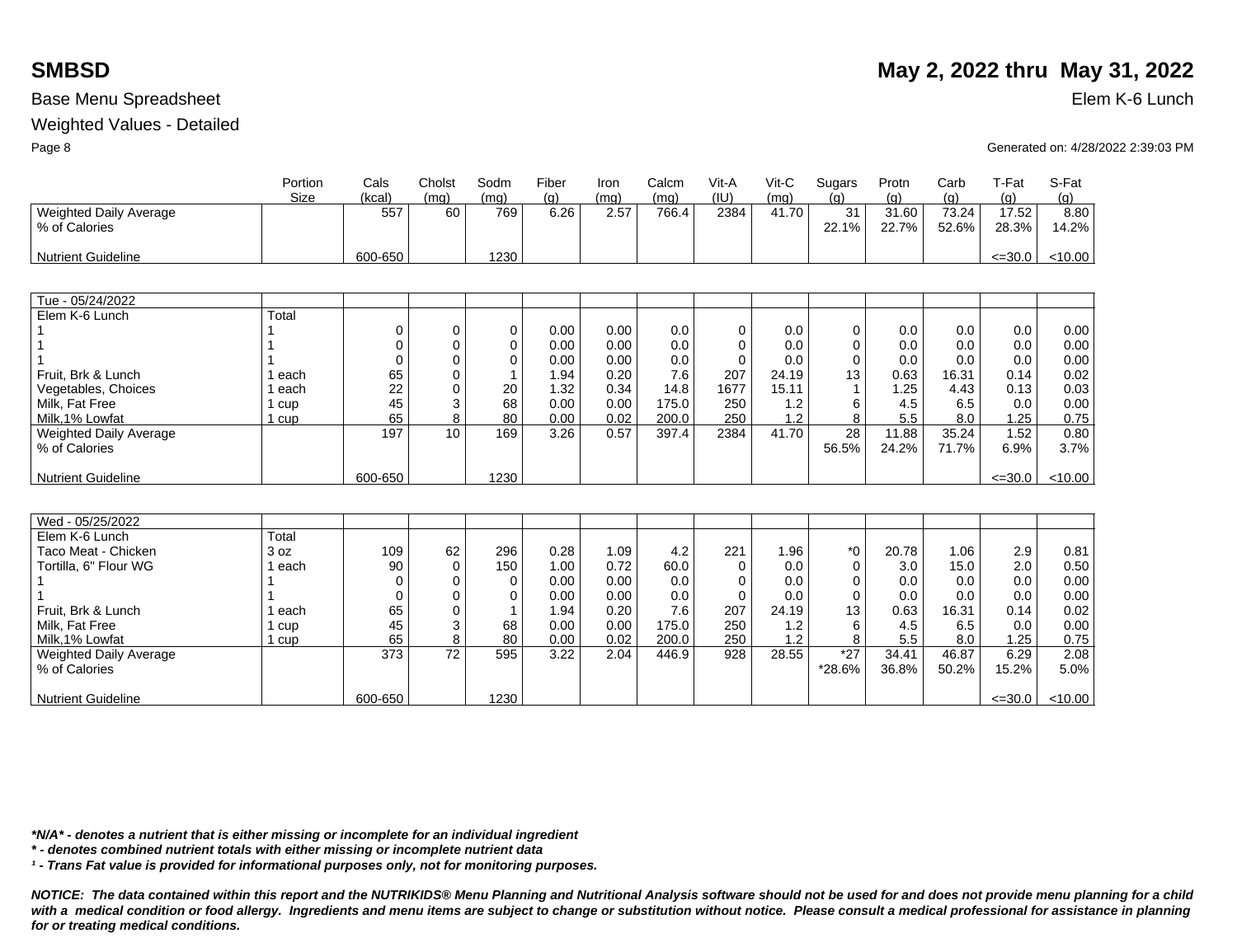### Weighted Values - Detailed

|                           | Portion     | Cals     | Cholst   | Sodm     | Fiber | Iron | Calcm | Vit-A    | Vit-C | Sugars   | Protn | Carb  | T-Fat       | S-Fat   |
|---------------------------|-------------|----------|----------|----------|-------|------|-------|----------|-------|----------|-------|-------|-------------|---------|
|                           | <b>Size</b> | (kcal)   | (mq)     | (mq)     | (g)   | (mq) | (mq)  | (IU)     | (mq)  | (q)      | (g)   | (g)   | (g)         | (g)     |
| Weighted Daily Average    |             | 557      | 60       | 769      | 6.26  | 2.57 | 766.4 | 2384     | 41.70 | 31       | 31.60 | 73.24 | 17.52       | 8.80    |
| % of Calories             |             |          |          |          |       |      |       |          |       | 22.1%    | 22.7% | 52.6% | 28.3%       | 14.2%   |
|                           |             |          |          |          |       |      |       |          |       |          |       |       |             |         |
| <b>Nutrient Guideline</b> |             | 600-650  |          | 1230     |       |      |       |          |       |          |       |       | $\leq 30.0$ | < 10.00 |
|                           |             |          |          |          |       |      |       |          |       |          |       |       |             |         |
|                           |             |          |          |          |       |      |       |          |       |          |       |       |             |         |
| Tue - 05/24/2022          |             |          |          |          |       |      |       |          |       |          |       |       |             |         |
| Elem K-6 Lunch            | Total       |          |          |          |       |      |       |          |       |          |       |       |             |         |
|                           |             | $\Omega$ | 0        | 0        | 0.00  | 0.00 | 0.0   | 0        | 0.0   | 0        | 0.0   | 0.0   | 0.0         | 0.00    |
|                           |             | $\Omega$ | 0        | 0        | 0.00  | 0.00 | 0.0   | 0        | 0.0   | 0        | 0.0   | 0.0   | 0.0         | 0.00    |
|                           |             | $\Omega$ | 0        | $\Omega$ | 0.00  | 0.00 | 0.0   | $\Omega$ | 0.0   | 0        | 0.0   | 0.0   | 0.0         | 0.00    |
| Fruit, Brk & Lunch        | ∣ each      | 65       | 0        |          | 1.94  | 0.20 | 7.6   | 207      | 24.19 | 13       | 0.63  | 16.31 | 0.14        | 0.02    |
| Vegetables, Choices       | 1 each      | 22       | 0        | 20       | 1.32  | 0.34 | 14.8  | 1677     | 15.11 |          | 1.25  | 4.43  | 0.13        | 0.03    |
| Milk, Fat Free            | 1 cup       | 45       | 3        | 68       | 0.00  | 0.00 | 175.0 | 250      | 1.2   | 6        | 4.5   | 6.5   | 0.0         | 0.00    |
| Milk.1% Lowfat            | 1 cup       | 65       | 8        | 80       | 0.00  | 0.02 | 200.0 | 250      | 1.2   | 8        | 5.5   | 8.0   | 1.25        | 0.75    |
| Weighted Daily Average    |             | 197      | 10       | 169      | 3.26  | 0.57 | 397.4 | 2384     | 41.70 | 28       | 11.88 | 35.24 | 1.52        | 0.80    |
| % of Calories             |             |          |          |          |       |      |       |          |       | 56.5%    | 24.2% | 71.7% | 6.9%        | 3.7%    |
|                           |             |          |          |          |       |      |       |          |       |          |       |       |             |         |
| <b>Nutrient Guideline</b> |             | 600-650  |          | 1230     |       |      |       |          |       |          |       |       | $\leq 30.0$ | < 10.00 |
|                           |             |          |          |          |       |      |       |          |       |          |       |       |             |         |
|                           |             |          |          |          |       |      |       |          |       |          |       |       |             |         |
| Wed - 05/25/2022          |             |          |          |          |       |      |       |          |       |          |       |       |             |         |
| Elem K-6 Lunch            | Total       |          |          |          |       |      |       |          |       |          |       |       |             |         |
| Taco Meat - Chicken       | 3 oz        | 109      | 62       | 296      | 0.28  | 1.09 | 4.2   | 221      | 1.96  | $*_{0}$  | 20.78 | 1.06  | 2.9         | 0.81    |
| Tortilla, 6" Flour WG     | 1 each      | 90       | $\Omega$ | 150      | 1.00  | 0.72 | 60.0  | $\Omega$ | 0.0   | 0        | 3.0   | 15.0  | 2.0         | 0.50    |
|                           |             | $\Omega$ | 0        | $\Omega$ | 0.00  | 0.00 | 0.0   | $\Omega$ | 0.0   | $\Omega$ | 0.0   | 0.0   | 0.0         | 0.00    |
|                           |             | $\Omega$ | $\Omega$ | 0        | 0.00  | 0.00 | 0.0   | $\Omega$ | 0.0   | $\Omega$ | 0.0   | 0.0   | 0.0         | 0.00    |
| Fruit. Brk & Lunch        | 1 each      | 65       | $\Omega$ |          | 1.94  | 0.20 | 7.6   | 207      | 24.19 | 13       | 0.63  | 16.31 | 0.14        | 0.02    |
| Milk, Fat Free            | 1 cup       | 45       | 3        | 68       | 0.00  | 0.00 | 175.0 | 250      | 1.2   | 6        | 4.5   | 6.5   | 0.0         | 0.00    |
| Milk.1% Lowfat            | 1 cup       | 65       | 8        | 80       | 0.00  | 0.02 | 200.0 | 250      | 1.2   | 8        | 5.5   | 8.0   | 1.25        | 0.75    |
| Weighted Daily Average    |             | 373      | 72       | 595      | 3.22  | 2.04 | 446.9 | 928      | 28.55 | $*27$    | 34.41 | 46.87 | 6.29        | 2.08    |
| % of Calories             |             |          |          |          |       |      |       |          |       | *28.6%   | 36.8% | 50.2% | 15.2%       | 5.0%    |
|                           |             |          |          |          |       |      |       |          |       |          |       |       |             |         |
| <b>Nutrient Guideline</b> |             | 600-650  |          | 1230     |       |      |       |          |       |          |       |       | $\leq 30.0$ | < 10.00 |

**SMBSD** May 2, 2022 thru May 31, 2022

Page 8 Generated on: 4/28/2022 2:39:03 PM

*\*N/A\* - denotes a nutrient that is either missing or incomplete for an individual ingredient*

*\* - denotes combined nutrient totals with either missing or incomplete nutrient data*

*¹ - Trans Fat value is provided for informational purposes only, not for monitoring purposes.*

*NOTICE: The data contained within this report and the NUTRIKIDS® Menu Planning and Nutritional Analysis software should not be used for and does not provide menu planning for a child*  with a medical condition or food allergy. Ingredients and menu items are subject to change or substitution without notice. Please consult a medical professional for assistance in planning *for or treating medical conditions.*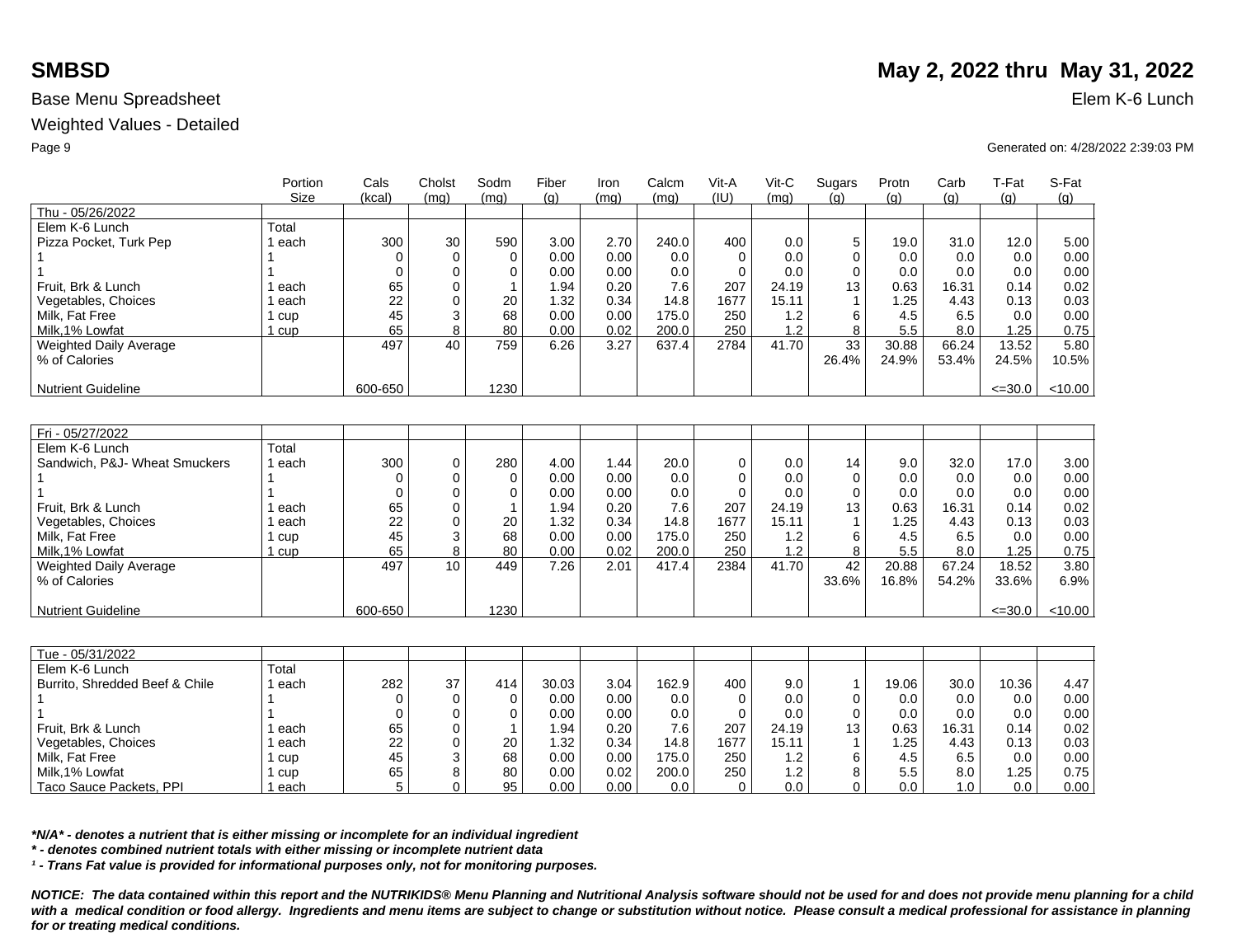Weighted Values - Detailed

|                                | Portion | Cals      | Cholst           | Sodm        | Fiber | Iron | Calcm | Vit-A       | Vit-C        | Sugars               | Protn | Carb  | T-Fat       | S-Fat   |
|--------------------------------|---------|-----------|------------------|-------------|-------|------|-------|-------------|--------------|----------------------|-------|-------|-------------|---------|
|                                | Size    | (kcal)    | (mq)             | (mq)        | (q)   | (mq) | (mq)  | (IU)        | (mq)         | (q)                  | (g)   | (q)   | (g)         | (g)     |
| Thu - 05/26/2022               |         |           |                  |             |       |      |       |             |              |                      |       |       |             |         |
| Elem K-6 Lunch                 | Total   |           |                  |             |       |      |       |             |              |                      |       |       |             |         |
| Pizza Pocket, Turk Pep         | 1 each  | 300       | 30               | 590         | 3.00  | 2.70 | 240.0 | 400         | 0.0          | 5                    | 19.0  | 31.0  | 12.0        | 5.00    |
|                                |         | $\Omega$  | $\Omega$         | 0           | 0.00  | 0.00 | 0.0   | $\Omega$    | 0.0          | 0                    | 0.0   | 0.0   | 0.0         | 0.00    |
|                                |         | $\Omega$  | $\Omega$         | $\Omega$    | 0.00  | 0.00 | 0.0   | $\Omega$    | 0.0          | $\Omega$             | 0.0   | 0.0   | 0.0         | 0.00    |
| Fruit, Brk & Lunch             | 1 each  | 65        | 0                |             | 1.94  | 0.20 | 7.6   | 207         | 24.19        | 13                   | 0.63  | 16.31 | 0.14        | 0.02    |
| Vegetables, Choices            | 1 each  | 22        | 0                | 20          | 1.32  | 0.34 | 14.8  | 1677        | 15.11        | $\mathbf{1}$         | 1.25  | 4.43  | 0.13        | 0.03    |
| Milk, Fat Free                 | 1 cup   | 45        | 3                | 68          | 0.00  | 0.00 | 175.0 | 250         | 1.2          | 6                    | 4.5   | 6.5   | 0.0         | 0.00    |
| Milk, 1% Lowfat                | 1 cup   | 65<br>497 | 8<br>40          | 80          | 0.00  | 0.02 | 200.0 | 250         | 1.2<br>41.70 | 8<br>$\overline{33}$ | 5.5   | 8.0   | 1.25        | 0.75    |
| <b>Weighted Daily Average</b>  |         |           |                  | 759         | 6.26  | 3.27 | 637.4 | 2784        |              | 26.4%                | 30.88 | 66.24 | 13.52       | 5.80    |
| % of Calories                  |         |           |                  |             |       |      |       |             |              |                      | 24.9% | 53.4% | 24.5%       | 10.5%   |
| <b>Nutrient Guideline</b>      |         | 600-650   |                  | 1230        |       |      |       |             |              |                      |       |       | $\leq 30.0$ | < 10.00 |
|                                |         |           |                  |             |       |      |       |             |              |                      |       |       |             |         |
|                                |         |           |                  |             |       |      |       |             |              |                      |       |       |             |         |
| Fri - 05/27/2022               |         |           |                  |             |       |      |       |             |              |                      |       |       |             |         |
| Elem K-6 Lunch                 | Total   |           |                  |             |       |      |       |             |              |                      |       |       |             |         |
| Sandwich, P&J- Wheat Smuckers  | 1 each  | 300       | $\mathbf 0$      | 280         | 4.00  | 1.44 | 20.0  | $\mathbf 0$ | 0.0          | 14                   | 9.0   | 32.0  | 17.0        | 3.00    |
|                                |         | $\Omega$  | $\mathbf 0$      | $\mathbf 0$ | 0.00  | 0.00 | 0.0   | $\mathbf 0$ | 0.0          | $\mathbf 0$          | 0.0   | 0.0   | 0.0         | 0.00    |
|                                | 1       | $\Omega$  | 0                | $\Omega$    | 0.00  | 0.00 | 0.0   | $\Omega$    | 0.0          | $\Omega$             | 0.0   | 0.0   | 0.0         | 0.00    |
| Fruit. Brk & Lunch             | 1 each  | 65        | $\Omega$         |             | 1.94  | 0.20 | 7.6   | 207         | 24.19        | 13                   | 0.63  | 16.31 | 0.14        | 0.02    |
| Vegetables, Choices            | 1 each  | 22        | $\Omega$         | 20          | 1.32  | 0.34 | 14.8  | 1677        | 15.11        | -1                   | 1.25  | 4.43  | 0.13        | 0.03    |
| Milk, Fat Free                 | 1 cup   | 45        | 3                | 68          | 0.00  | 0.00 | 175.0 | 250         | 1.2          | 6                    | 4.5   | 6.5   | 0.0         | 0.00    |
| Milk.1% Lowfat                 | 1 cup   | 65        | 8                | 80          | 0.00  | 0.02 | 200.0 | 250         | 1.2          | 8                    | 5.5   | 8.0   | 1.25        | 0.75    |
| Weighted Daily Average         |         | 497       | 10 <sup>10</sup> | 449         | 7.26  | 2.01 | 417.4 | 2384        | 41.70        | 42                   | 20.88 | 67.24 | 18.52       | 3.80    |
| % of Calories                  |         |           |                  |             |       |      |       |             |              | 33.6%                | 16.8% | 54.2% | 33.6%       | 6.9%    |
| <b>Nutrient Guideline</b>      |         | 600-650   |                  | 1230        |       |      |       |             |              |                      |       |       | $\leq 30.0$ | < 10.00 |
|                                |         |           |                  |             |       |      |       |             |              |                      |       |       |             |         |
|                                |         |           |                  |             |       |      |       |             |              |                      |       |       |             |         |
| Tue - 05/31/2022               |         |           |                  |             |       |      |       |             |              |                      |       |       |             |         |
| Elem K-6 Lunch                 | Total   |           |                  |             |       |      |       |             |              |                      |       |       |             |         |
| Burrito, Shredded Beef & Chile | 1 each  | 282       | 37               | 414         | 30.03 | 3.04 | 162.9 | 400         | 9.0          | $\mathbf{1}$         | 19.06 | 30.0  | 10.36       | 4.47    |
|                                |         | $\Omega$  | $\Omega$         | 0           | 0.00  | 0.00 | 0.0   | $\mathbf 0$ | 0.0          | 0                    | 0.0   | 0.0   | 0.0         | 0.00    |
|                                |         | $\Omega$  | $\Omega$         | $\Omega$    | 0.00  | 0.00 | 0.0   | $\Omega$    | 0.0          | $\Omega$             | 0.0   | 0.0   | 0.0         | 0.00    |
| Fruit. Brk & Lunch             | 1 each  | 65        | 0                |             | 1.94  | 0.20 | 7.6   | 207         | 24.19        | 13                   | 0.63  | 16.31 | 0.14        | 0.02    |
| Vegetables, Choices            | 1 each  | 22        | $\mathbf 0$      | 20          | 1.32  | 0.34 | 14.8  | 1677        | 15.11        | $\mathbf{1}$         | 1.25  | 4.43  | 0.13        | 0.03    |
| Milk. Fat Free                 | 1 cup   | 45        | 3                | 68          | 0.00  | 0.00 | 175.0 | 250         | 1.2          | 6                    | 4.5   | 6.5   | 0.0         | 0.00    |
| Milk, 1% Lowfat                | 1 cup   | 65        | 8                | 80          | 0.00  | 0.02 | 200.0 | 250         | 1.2          | 8                    | 5.5   | 8.0   | 1.25        | 0.75    |
| Taco Sauce Packets, PPI        | 1 each  | 5         | 0                | 95          | 0.00  | 0.00 | 0.0   | $\Omega$    | 0.0          | $\Omega$             | 0.0   | 1.0   | 0.0         | 0.00    |

*\*N/A\* - denotes a nutrient that is either missing or incomplete for an individual ingredient*

*\* - denotes combined nutrient totals with either missing or incomplete nutrient data*

*¹ - Trans Fat value is provided for informational purposes only, not for monitoring purposes.*

*NOTICE: The data contained within this report and the NUTRIKIDS® Menu Planning and Nutritional Analysis software should not be used for and does not provide menu planning for a child*  with a medical condition or food allergy. Ingredients and menu items are subject to change or substitution without notice. Please consult a medical professional for assistance in planning *for or treating medical conditions.*

# **SMBSD** May 2, 2022 thru May 31, 2022

Page 9 Generated on: 4/28/2022 2:39:03 PM